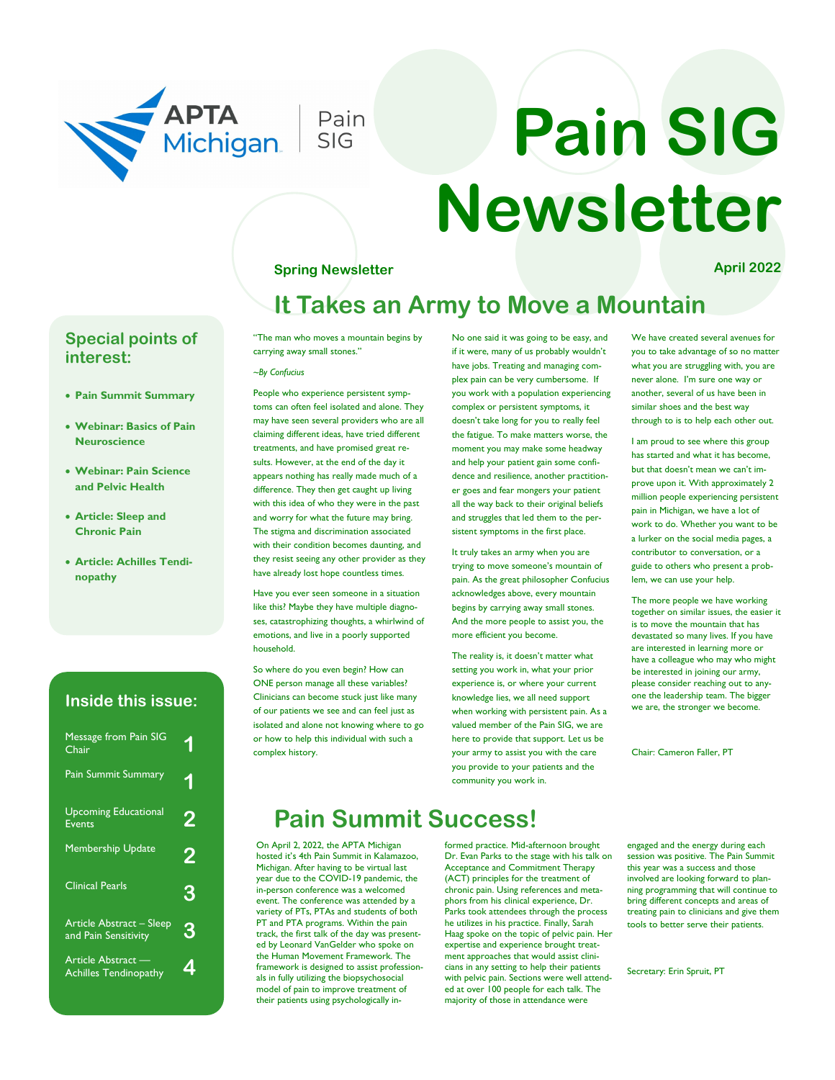

# **Pain SIG Newsletter**

### **Spring Newsletter April 2022**

# **It Takes an Army to Move a Mountain**

## **Special points of interest:**

- **Pain Summit Summary**
- **Webinar: Basics of Pain Neuroscience**
- **Webinar: Pain Science and Pelvic Health**
- **Article: Sleep and Chronic Pain**
- **Article: Achilles Tendinopathy**

## **Inside this issue:**

| <b>Message from Pain SIG</b><br>Chair              |   |
|----------------------------------------------------|---|
| <b>Pain Summit Summary</b>                         |   |
| <b>Upcoming Educational</b><br><b>Events</b>       |   |
| <b>Membership Update</b>                           |   |
| <b>Clinical Pearls</b>                             | З |
| Article Abstract - Sleep<br>and Pain Sensitivity   | 3 |
| Article Abstract -<br><b>Achilles Tendinopathy</b> |   |

"The man who moves a mountain begins by carrying away small stones."

#### *~By Confucius*

People who experience persistent symptoms can often feel isolated and alone. They may have seen several providers who are all claiming different ideas, have tried different treatments, and have promised great results. However, at the end of the day it appears nothing has really made much of a difference. They then get caught up living with this idea of who they were in the past and worry for what the future may bring. The stigma and discrimination associated with their condition becomes daunting, and they resist seeing any other provider as they have already lost hope countless times.

Have you ever seen someone in a situation like this? Maybe they have multiple diagnoses, catastrophizing thoughts, a whirlwind of emotions, and live in a poorly supported household.

So where do you even begin? How can ONE person manage all these variables? Clinicians can become stuck just like many of our patients we see and can feel just as isolated and alone not knowing where to go or how to help this individual with such a complex history.

No one said it was going to be easy, and if it were, many of us probably wouldn't have jobs. Treating and managing complex pain can be very cumbersome. If you work with a population experiencing complex or persistent symptoms, it doesn't take long for you to really feel the fatigue. To make matters worse, the moment you may make some headway and help your patient gain some confidence and resilience, another practitioner goes and fear mongers your patient all the way back to their original beliefs and struggles that led them to the persistent symptoms in the first place.

It truly takes an army when you are trying to move someone's mountain of pain. As the great philosopher Confucius acknowledges above, every mountain begins by carrying away small stones. And the more people to assist you, the more efficient you become.

The reality is, it doesn't matter what setting you work in, what your prior experience is, or where your current knowledge lies, we all need support when working with persistent pain. As a valued member of the Pain SIG, we are here to provide that support. Let us be your army to assist you with the care you provide to your patients and the community you work in.

We have created several avenues for you to take advantage of so no matter what you are struggling with, you are never alone. I'm sure one way or another, several of us have been in similar shoes and the best way through to is to help each other out.

I am proud to see where this group has started and what it has become, but that doesn't mean we can't improve upon it. With approximately 2 million people experiencing persistent pain in Michigan, we have a lot of work to do. Whether you want to be a lurker on the social media pages, a contributor to conversation, or a guide to others who present a problem, we can use your help.

The more people we have working together on similar issues, the easier it is to move the mountain that has devastated so many lives. If you have are interested in learning more or have a colleague who may who might be interested in joining our army, please consider reaching out to anyone the leadership team. The bigger we are, the stronger we become.

Chair: Cameron Faller, PT

# **Pain Summit Success!**

On April 2, 2022, the APTA Michigan hosted it's 4th Pain Summit in Kalamazoo, Michigan. After having to be virtual last year due to the COVID-19 pandemic, the in-person conference was a welcomed event. The conference was attended by a variety of PTs, PTAs and students of both PT and PTA programs. Within the pain track, the first talk of the day was presented by Leonard VanGelder who spoke on the Human Movement Framework. The framework is designed to assist professionals in fully utilizing the biopsychosocial model of pain to improve treatment of their patients using psychologically in-

formed practice. Mid-afternoon brought Dr. Evan Parks to the stage with his talk on Acceptance and Commitment Therapy (ACT) principles for the treatment of chronic pain. Using references and metaphors from his clinical experience, Dr. Parks took attendees through the process he utilizes in his practice. Finally, Sarah Haag spoke on the topic of pelvic pain. Her expertise and experience brought treatment approaches that would assist clinicians in any setting to help their patients with pelvic pain. Sections were well attended at over 100 people for each talk. The majority of those in attendance were

engaged and the energy during each session was positive. The Pain Summit this year was a success and those involved are looking forward to planning programming that will continue to bring different concepts and areas of treating pain to clinicians and give them tools to better serve their patients.

Secretary: Erin Spruit, PT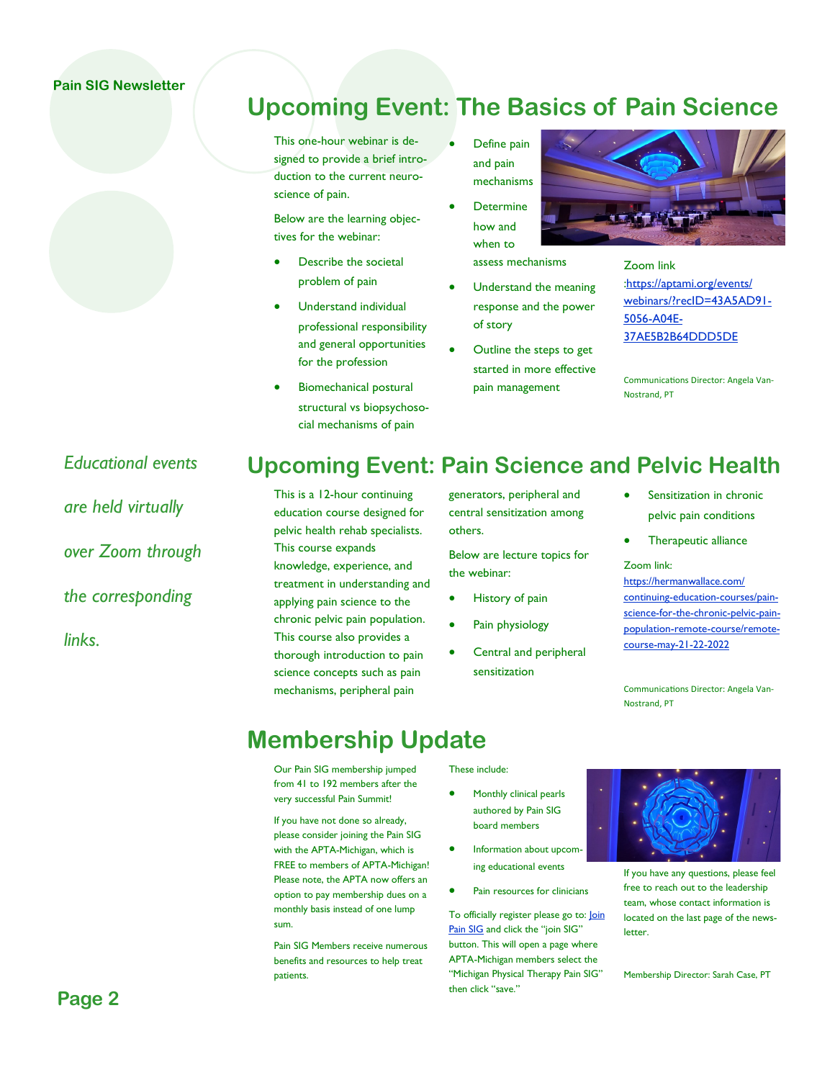## **Pain SIG Newsletter**



This one-hour webinar is designed to provide a brief introduction to the current neuroscience of pain.

Below are the learning objectives for the webinar:

- Describe the societal problem of pain
- Understand individual professional responsibility and general opportunities for the profession
- Biomechanical postural structural vs biopsychosocial mechanisms of pain
- Define pain and pain mechanisms
- Determine how and when to assess mechanisms
- Understand the meaning response and the power of story
- Outline the steps to get started in more effective pain management



Zoom link [:https://aptami.org/events/](https://aptami.org/events/webinars/?recID=43A5AD91-5056-A04E-37AE5B2B64DDD5DE) [webinars/?recID=43A5AD91-](https://aptami.org/events/webinars/?recID=43A5AD91-5056-A04E-37AE5B2B64DDD5DE) [5056-A04E-](https://aptami.org/events/webinars/?recID=43A5AD91-5056-A04E-37AE5B2B64DDD5DE)[37AE5B2B64DDD5DE](https://aptami.org/events/webinars/?recID=43A5AD91-5056-A04E-37AE5B2B64DDD5DE)

Communications Director: Angela Van-Nostrand, PT

*Educational events are held virtually over Zoom through the corresponding links.* 

# **Upcoming Event: Pain Science and Pelvic Health**

This is a 12-hour continuing education course designed for pelvic health rehab specialists. This course expands knowledge, experience, and treatment in understanding and applying pain science to the chronic pelvic pain population. This course also provides a thorough introduction to pain science concepts such as pain mechanisms, peripheral pain

generators, peripheral and central sensitization among others.

Below are lecture topics for the webinar:

- History of pain
- Pain physiology
- Central and peripheral sensitization
- Sensitization in chronic pelvic pain conditions
- Therapeutic alliance

Zoom link:

[https://hermanwallace.com/](https://hermanwallace.com/continuing-education-courses/pain-science-for-the-chronic-pelvic-pain-population-remote-course/remote-course-may-21-22-2022) [continuing-education-courses/pain](https://hermanwallace.com/continuing-education-courses/pain-science-for-the-chronic-pelvic-pain-population-remote-course/remote-course-may-21-22-2022)[science-for-the-chronic-pelvic-pain](https://hermanwallace.com/continuing-education-courses/pain-science-for-the-chronic-pelvic-pain-population-remote-course/remote-course-may-21-22-2022)[population-remote-course/remote](https://hermanwallace.com/continuing-education-courses/pain-science-for-the-chronic-pelvic-pain-population-remote-course/remote-course-may-21-22-2022)[course-may-21-22-2022](https://hermanwallace.com/continuing-education-courses/pain-science-for-the-chronic-pelvic-pain-population-remote-course/remote-course-may-21-22-2022)

Communications Director: Angela Van-Nostrand, PT

# **Membership Update**

Our Pain SIG membership jumped from 41 to 192 members after the very successful Pain Summit!

If you have not done so already, please consider joining the Pain SIG with the APTA-Michigan, which is FREE to members of APTA-Michigan! Please note, the APTA now offers an option to pay membership dues on a monthly basis instead of one lump sum.

Pain SIG Members receive numerous benefits and resources to help treat patients.

These include:

- Monthly clinical pearls authored by Pain SIG board members
- Information about upcom ing educational events
- Pain resources for clinicians

To officially register please go to: Join [Pain SIG](https://aptami.org/sigs/pain-sig/) and click the "join SIG" button. This will open a page where APTA-Michigan members select the "Michigan Physical Therapy Pain SIG" then click "save."



If you have any questions, please feel free to reach out to the leadership team, whose contact information is located on the last page of the news**letter.** 

Membership Director: Sarah Case, PT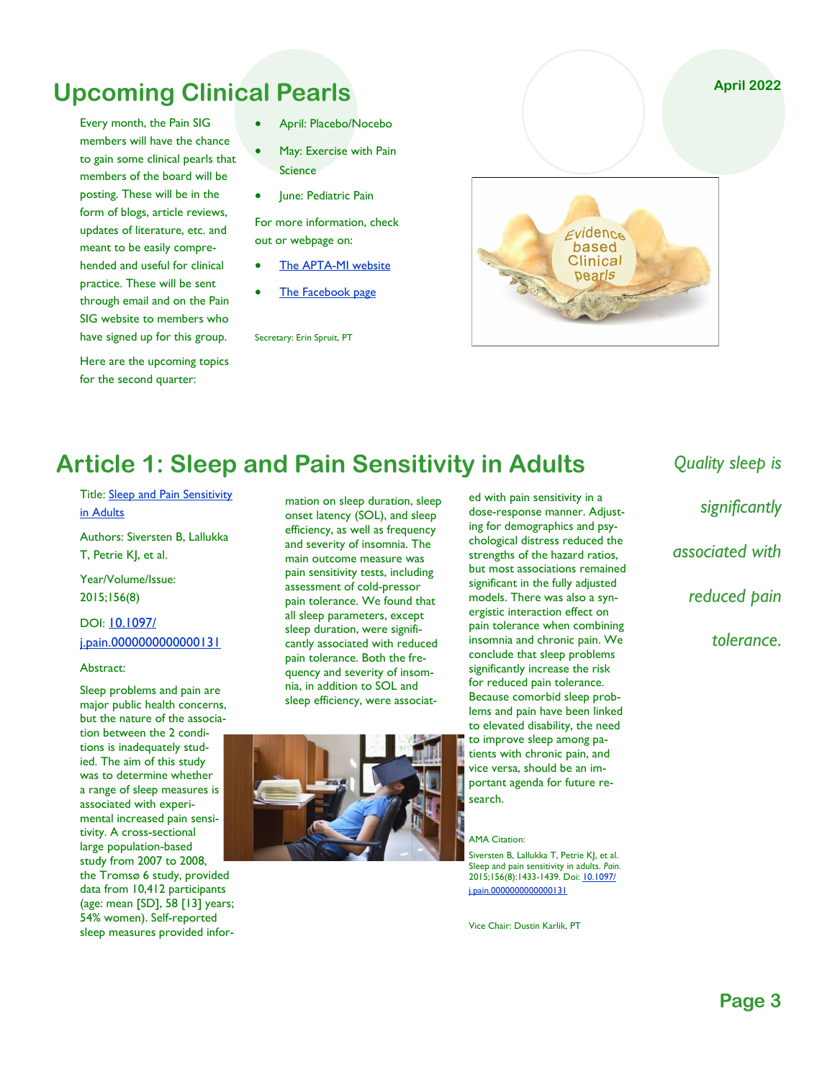# **Upcoming Clinical Pearls**

Every month, the Pain SIG members will have the chance to gain some clinical pearls that members of the board will be posting. These will be in the form of blogs, article reviews, updates of literature, etc. and meant to be easily comprehended and useful for clinical practice. These will be sent through email and on the Pain SIG website to members who have signed up for this group.

Here are the upcoming topics for the second quarter:

- April: Placebo/Nocebo
- May: Exercise with Pain Science
- June: Pediatric Pain

For more information, check out or webpage on:

- [The APTA-MI website](https://aptami.org/sigs/pain-sig/)
- [The Facebook page](https://www.facebook.com/groups/301084173895665/)

Secretary: Erin Spruit, PT

**April 2022** $E$ vidence based Clinical pearls

# **Article 1: Sleep and Pain Sensitivity in Adults**

Title: [Sleep and Pain Sensitivity](https://pubmed.ncbi.nlm.nih.gov/25915149/)  [in Adults](https://pubmed.ncbi.nlm.nih.gov/25915149/)

Authors: Siversten B, Lallukka

T, Petrie KJ, et al.

Year/Volume/Issue: 2015;156(8)

## DOI: [10.1097/](https://doi.org/10.1097/j.pain.0000000000000131) [j.pain.0000000000000131](https://doi.org/10.1097/j.pain.0000000000000131)

#### Abstract:

Sleep problems and pain are major public health concerns, but the nature of the association between the 2 conditions is inadequately studied. The aim of this study was to determine whether a range of sleep measures is associated with experimental increased pain sensitivity. A cross-sectional large population-based study from 2007 to 2008, the Tromsø 6 study, provided data from 10,412 participants (age: mean [SD], 58 [13] years;

54% women). Self-reported sleep measures provided infor-

mation on sleep duration, sleep onset latency (SOL), and sleep efficiency, as well as frequency and severity of insomnia. The main outcome measure was pain sensitivity tests, including assessment of cold-pressor pain tolerance. We found that all sleep parameters, except sleep duration, were significantly associated with reduced pain tolerance. Both the frequency and severity of insomnia, in addition to SOL and sleep efficiency, were associat-



ed with pain sensitivity in a dose-response manner. Adjusting for demographics and psychological distress reduced the strengths of the hazard ratios, but most associations remained significant in the fully adjusted models. There was also a synergistic interaction effect on pain tolerance when combining insomnia and chronic pain. We conclude that sleep problems significantly increase the risk for reduced pain tolerance. Because comorbid sleep problems and pain have been linked to elevated disability, the need to improve sleep among patients with chronic pain, and vice versa, should be an important agenda for future research.

#### AMA Citation:

Siversten B, Lallukka T, Petrie KJ, et al. Sleep and pain sensitivity in adults. *Pain*. 2015;156(8):1433-1439. Doi: [10.1097/](https://doi.org/10.1097/j.pain.0000000000000131) [j.pain.0000000000000131](https://doi.org/10.1097/j.pain.0000000000000131) 

Vice Chair: Dustin Karlik, PT

*Quality sleep is significantly associated with reduced pain tolerance.*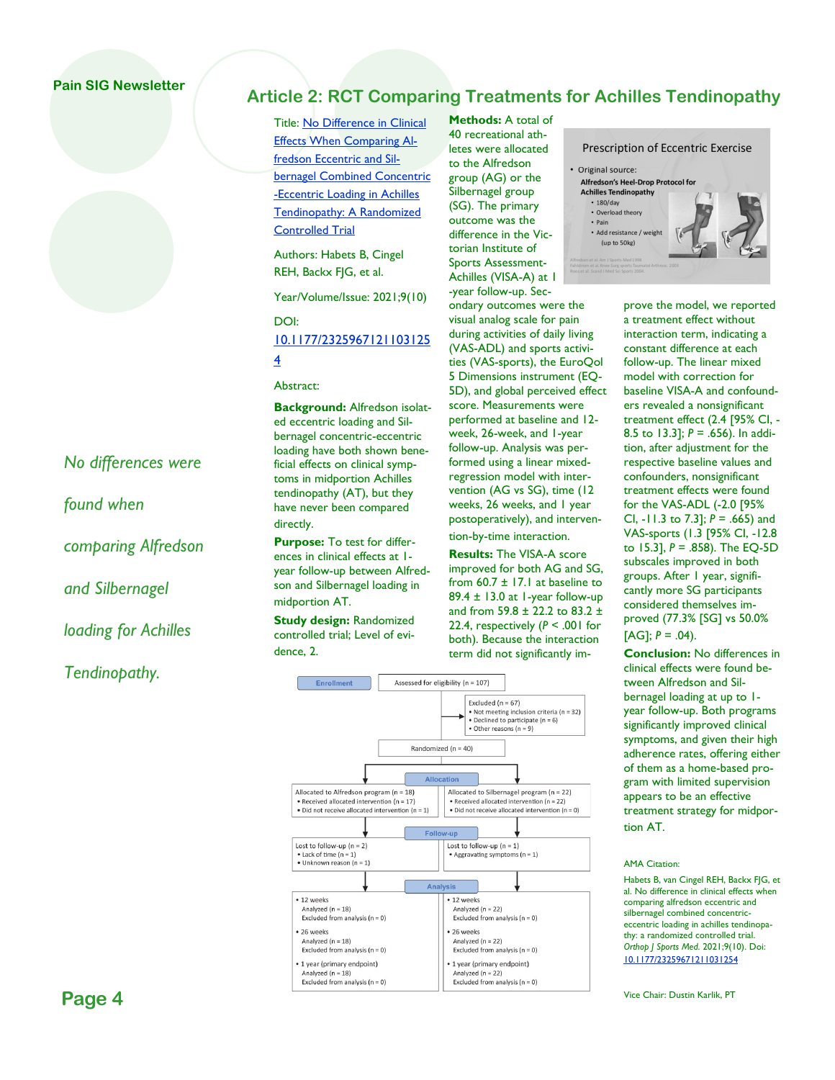## **Pain SIG Newsletter**

# **Article 2: RCT Comparing Treatments for Achilles Tendinopathy**

Title: [No Difference in Clinical](https://pubmed.ncbi.nlm.nih.gov/34722783/)  [Effects When Comparing Al](https://pubmed.ncbi.nlm.nih.gov/34722783/)[fredson Eccentric and Sil](https://pubmed.ncbi.nlm.nih.gov/34722783/)[bernagel Combined Concentric](https://pubmed.ncbi.nlm.nih.gov/34722783/) [-Eccentric Loading in Achilles](https://pubmed.ncbi.nlm.nih.gov/34722783/)  [Tendinopathy: A Randomized](https://pubmed.ncbi.nlm.nih.gov/34722783/)  [Controlled Trial](https://pubmed.ncbi.nlm.nih.gov/34722783/)

Authors: Habets B, Cingel REH, Backx FJG, et al.

Year/Volume/Issue: 2021;9(10)

DOI:

## [10.1177/2325967121103125](https://doi.org/10.1177/23259671211031254) [4](https://doi.org/10.1177/23259671211031254)

Abstract:

**Background:** Alfredson isolated eccentric loading and Silbernagel concentric-eccentric loading have both shown beneficial effects on clinical symptoms in midportion Achilles tendinopathy (AT), but they have never been compared directly.

**Purpose:** To test for differences in clinical effects at 1 year follow-up between Alfredson and Silbernagel loading in midportion AT.

**Study design:** Randomized controlled trial; Level of evidence, 2.

**Methods:** A total of 40 recreational athletes were allocated to the Alfredson group (AG) or the Silbernagel group (SG). The primary outcome was the difference in the Victorian Institute of Sports Assessment-Achilles (VISA-A) at 1 -year follow-up. Sec-

ondary outcomes were the visual analog scale for pain during activities of daily living (VAS-ADL) and sports activities (VAS-sports), the EuroQol 5 Dimensions instrument (EQ-5D), and global perceived effect score. Measurements were performed at baseline and 12 week, 26-week, and 1-year follow-up. Analysis was performed using a linear mixedregression model with intervention (AG vs SG), time (12 weeks, 26 weeks, and 1 year postoperatively), and intervention-by-time interaction.

**Results:** The VISA-A score improved for both AG and SG, from  $60.7 \pm 17.1$  at baseline to 89.4 ± 13.0 at 1-year follow-up and from 59.8 ± 22.2 to 83.2 ± 22.4, respectively  $(P < .001$  for both). Because the interaction term did not significantly im-



**Prescription of Eccentric Exercise** 

interaction term, indicating a constant difference at each follow-up. The linear mixed model with correction for baseline VISA-A and confounders revealed a nonsignificant treatment effect (2.4 [95% CI, - 8.5 to 13.3]; *P* = .656). In addition, after adjustment for the respective baseline values and confounders, nonsignificant treatment effects were found for the VAS-ADL (-2.0 [95% CI, -11.3 to 7.3]; *P* = .665) and VAS-sports (1.3 [95% CI, -12.8 to 15.3], *P* = .858). The EQ-5D subscales improved in both groups. After 1 year, significantly more SG participants considered themselves improved (77.3% [SG] vs 50.0%  $[AG]$ ;  $P = .04$ ).

**Conclusion:** No differences in clinical effects were found between Alfredson and Silbernagel loading at up to 1 year follow-up. Both programs significantly improved clinical symptoms, and given their high adherence rates, offering either of them as a home-based program with limited supervision appears to be an effective treatment strategy for midportion AT.

#### AMA Citation:

Habets B, van Cingel REH, Backx FJG, et al. No difference in clinical effects when comparing alfredson eccentric and silbernagel combined concentriceccentric loading in achilles tendinopathy: a randomized controlled trial. *Orthop J Sports Med*. 2021;9(10). Doi: [10.1177/23259671211031254](https://doi.org/10.1177/23259671211031254) 

Vice Chair: Dustin Karlik, PT

## *No differences were*

*found when* 

*comparing Alfredson* 

*and Silbernagel* 

*loading for Achilles* 

## *Tendinopathy.*